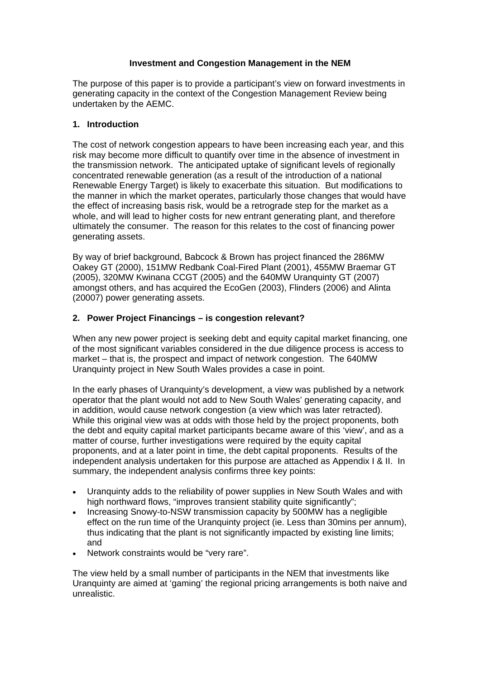## **Investment and Congestion Management in the NEM**

The purpose of this paper is to provide a participant's view on forward investments in generating capacity in the context of the Congestion Management Review being undertaken by the AEMC.

## **1. Introduction**

The cost of network congestion appears to have been increasing each year, and this risk may become more difficult to quantify over time in the absence of investment in the transmission network. The anticipated uptake of significant levels of regionally concentrated renewable generation (as a result of the introduction of a national Renewable Energy Target) is likely to exacerbate this situation. But modifications to the manner in which the market operates, particularly those changes that would have the effect of increasing basis risk, would be a retrograde step for the market as a whole, and will lead to higher costs for new entrant generating plant, and therefore ultimately the consumer. The reason for this relates to the cost of financing power generating assets.

By way of brief background, Babcock & Brown has project financed the 286MW Oakey GT (2000), 151MW Redbank Coal-Fired Plant (2001), 455MW Braemar GT (2005), 320MW Kwinana CCGT (2005) and the 640MW Uranquinty GT (2007) amongst others, and has acquired the EcoGen (2003), Flinders (2006) and Alinta (20007) power generating assets.

# **2. Power Project Financings – is congestion relevant?**

When any new power project is seeking debt and equity capital market financing, one of the most significant variables considered in the due diligence process is access to market – that is, the prospect and impact of network congestion. The 640MW Uranquinty project in New South Wales provides a case in point.

In the early phases of Uranquinty's development, a view was published by a network operator that the plant would not add to New South Wales' generating capacity, and in addition, would cause network congestion (a view which was later retracted). While this original view was at odds with those held by the project proponents, both the debt and equity capital market participants became aware of this 'view', and as a matter of course, further investigations were required by the equity capital proponents, and at a later point in time, the debt capital proponents. Results of the independent analysis undertaken for this purpose are attached as Appendix I & II. In summary, the independent analysis confirms three key points:

- Uranquinty adds to the reliability of power supplies in New South Wales and with high northward flows, "improves transient stability quite significantly";
- Increasing Snowy-to-NSW transmission capacity by 500MW has a negligible effect on the run time of the Uranquinty project (ie. Less than 30mins per annum), thus indicating that the plant is not significantly impacted by existing line limits; and
- Network constraints would be "very rare".

The view held by a small number of participants in the NEM that investments like Uranquinty are aimed at 'gaming' the regional pricing arrangements is both naive and unrealistic.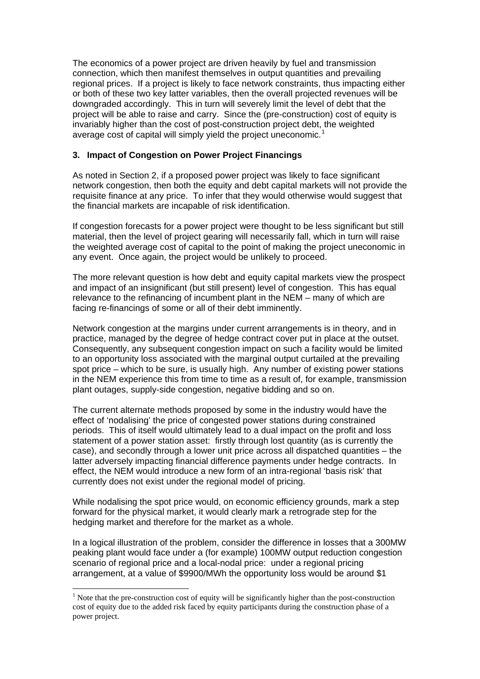The economics of a power project are driven heavily by fuel and transmission connection, which then manifest themselves in output quantities and prevailing regional prices. If a project is likely to face network constraints, thus impacting either or both of these two key latter variables, then the overall projected revenues will be downgraded accordingly. This in turn will severely limit the level of debt that the project will be able to raise and carry. Since the (pre-construction) cost of equity is invariably higher than the cost of post-construction project debt, the weighted average cost of capital will simply yield the project uneconomic.<sup>[1](#page-1-0)</sup>

# **3. Impact of Congestion on Power Project Financings**

As noted in Section 2, if a proposed power project was likely to face significant network congestion, then both the equity and debt capital markets will not provide the requisite finance at any price. To infer that they would otherwise would suggest that the financial markets are incapable of risk identification.

If congestion forecasts for a power project were thought to be less significant but still material, then the level of project gearing will necessarily fall, which in turn will raise the weighted average cost of capital to the point of making the project uneconomic in any event. Once again, the project would be unlikely to proceed.

The more relevant question is how debt and equity capital markets view the prospect and impact of an insignificant (but still present) level of congestion. This has equal relevance to the refinancing of incumbent plant in the NEM – many of which are facing re-financings of some or all of their debt imminently.

Network congestion at the margins under current arrangements is in theory, and in practice, managed by the degree of hedge contract cover put in place at the outset. Consequently, any subsequent congestion impact on such a facility would be limited to an opportunity loss associated with the marginal output curtailed at the prevailing spot price – which to be sure, is usually high. Any number of existing power stations in the NEM experience this from time to time as a result of, for example, transmission plant outages, supply-side congestion, negative bidding and so on.

The current alternate methods proposed by some in the industry would have the effect of 'nodalising' the price of congested power stations during constrained periods. This of itself would ultimately lead to a dual impact on the profit and loss statement of a power station asset: firstly through lost quantity (as is currently the case), and secondly through a lower unit price across all dispatched quantities – the latter adversely impacting financial difference payments under hedge contracts. In effect, the NEM would introduce a new form of an intra-regional 'basis risk' that currently does not exist under the regional model of pricing.

While nodalising the spot price would, on economic efficiency grounds, mark a step forward for the physical market, it would clearly mark a retrograde step for the hedging market and therefore for the market as a whole.

In a logical illustration of the problem, consider the difference in losses that a 300MW peaking plant would face under a (for example) 100MW output reduction congestion scenario of regional price and a local-nodal price: under a regional pricing arrangement, at a value of \$9900/MWh the opportunity loss would be around \$1

 $\overline{a}$ 

<span id="page-1-0"></span> $<sup>1</sup>$  Note that the pre-construction cost of equity will be significantly higher than the post-construction</sup> cost of equity due to the added risk faced by equity participants during the construction phase of a power project.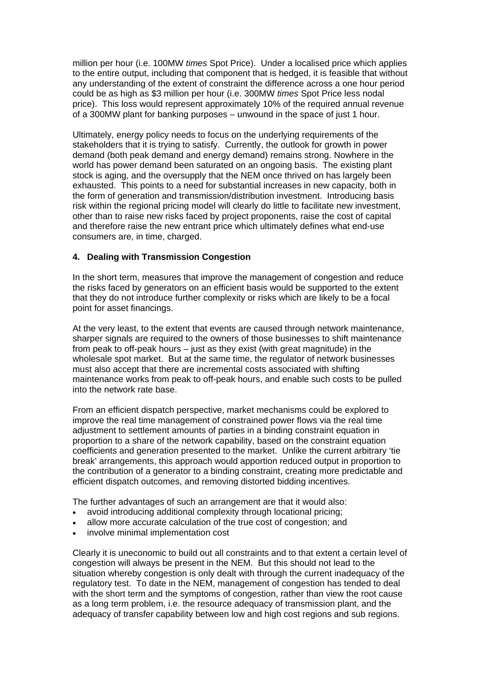million per hour (i.e. 100MW *times* Spot Price). Under a localised price which applies to the entire output, including that component that is hedged, it is feasible that without any understanding of the extent of constraint the difference across a one hour period could be as high as \$3 million per hour (i.e. 300MW *times* Spot Price less nodal price). This loss would represent approximately 10% of the required annual revenue of a 300MW plant for banking purposes – unwound in the space of just 1 hour.

Ultimately, energy policy needs to focus on the underlying requirements of the stakeholders that it is trying to satisfy. Currently, the outlook for growth in power demand (both peak demand and energy demand) remains strong. Nowhere in the world has power demand been saturated on an ongoing basis. The existing plant stock is aging, and the oversupply that the NEM once thrived on has largely been exhausted. This points to a need for substantial increases in new capacity, both in the form of generation and transmission/distribution investment. Introducing basis risk within the regional pricing model will clearly do little to facilitate new investment, other than to raise new risks faced by project proponents, raise the cost of capital and therefore raise the new entrant price which ultimately defines what end-use consumers are, in time, charged.

# **4. Dealing with Transmission Congestion**

In the short term, measures that improve the management of congestion and reduce the risks faced by generators on an efficient basis would be supported to the extent that they do not introduce further complexity or risks which are likely to be a focal point for asset financings.

At the very least, to the extent that events are caused through network maintenance, sharper signals are required to the owners of those businesses to shift maintenance from peak to off-peak hours – just as they exist (with great magnitude) in the wholesale spot market. But at the same time, the regulator of network businesses must also accept that there are incremental costs associated with shifting maintenance works from peak to off-peak hours, and enable such costs to be pulled into the network rate base.

From an efficient dispatch perspective, market mechanisms could be explored to improve the real time management of constrained power flows via the real time adjustment to settlement amounts of parties in a binding constraint equation in proportion to a share of the network capability, based on the constraint equation coefficients and generation presented to the market. Unlike the current arbitrary 'tie break' arrangements, this approach would apportion reduced output in proportion to the contribution of a generator to a binding constraint, creating more predictable and efficient dispatch outcomes, and removing distorted bidding incentives.

The further advantages of such an arrangement are that it would also:

- avoid introducing additional complexity through locational pricing;
- allow more accurate calculation of the true cost of congestion; and
- involve minimal implementation cost

Clearly it is uneconomic to build out all constraints and to that extent a certain level of congestion will always be present in the NEM. But this should not lead to the situation whereby congestion is only dealt with through the current inadequacy of the regulatory test. To date in the NEM, management of congestion has tended to deal with the short term and the symptoms of congestion, rather than view the root cause as a long term problem, i.e. the resource adequacy of transmission plant, and the adequacy of transfer capability between low and high cost regions and sub regions.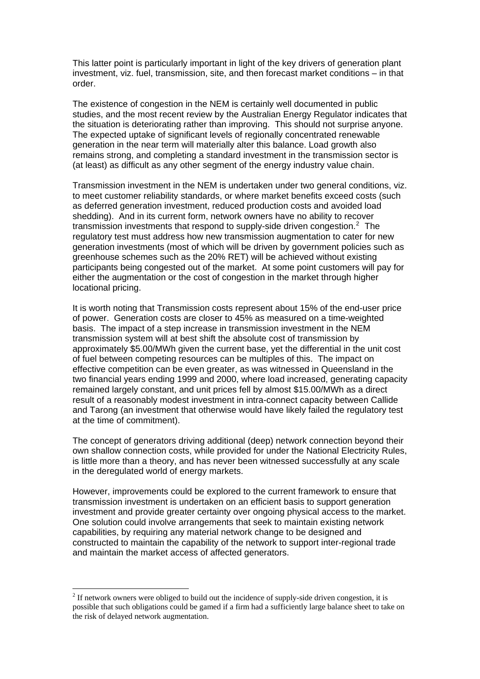This latter point is particularly important in light of the key drivers of generation plant investment, viz. fuel, transmission, site, and then forecast market conditions – in that order.

The existence of congestion in the NEM is certainly well documented in public studies, and the most recent review by the Australian Energy Regulator indicates that the situation is deteriorating rather than improving. This should not surprise anyone. The expected uptake of significant levels of regionally concentrated renewable generation in the near term will materially alter this balance. Load growth also remains strong, and completing a standard investment in the transmission sector is (at least) as difficult as any other segment of the energy industry value chain.

Transmission investment in the NEM is undertaken under two general conditions, viz. to meet customer reliability standards, or where market benefits exceed costs (such as deferred generation investment, reduced production costs and avoided load shedding). And in its current form, network owners have no ability to recover transmission investments that respond to supply-side driven congestion. $2$  The regulatory test must address how new transmission augmentation to cater for new generation investments (most of which will be driven by government policies such as greenhouse schemes such as the 20% RET) will be achieved without existing participants being congested out of the market. At some point customers will pay for either the augmentation or the cost of congestion in the market through higher locational pricing.

It is worth noting that Transmission costs represent about 15% of the end-user price of power. Generation costs are closer to 45% as measured on a time-weighted basis. The impact of a step increase in transmission investment in the NEM transmission system will at best shift the absolute cost of transmission by approximately \$5.00/MWh given the current base, yet the differential in the unit cost of fuel between competing resources can be multiples of this. The impact on effective competition can be even greater, as was witnessed in Queensland in the two financial years ending 1999 and 2000, where load increased, generating capacity remained largely constant, and unit prices fell by almost \$15.00/MWh as a direct result of a reasonably modest investment in intra-connect capacity between Callide and Tarong (an investment that otherwise would have likely failed the regulatory test at the time of commitment).

The concept of generators driving additional (deep) network connection beyond their own shallow connection costs, while provided for under the National Electricity Rules, is little more than a theory, and has never been witnessed successfully at any scale in the deregulated world of energy markets.

However, improvements could be explored to the current framework to ensure that transmission investment is undertaken on an efficient basis to support generation investment and provide greater certainty over ongoing physical access to the market. One solution could involve arrangements that seek to maintain existing network capabilities, by requiring any material network change to be designed and constructed to maintain the capability of the network to support inter-regional trade and maintain the market access of affected generators.

 $\overline{a}$ 

<span id="page-3-0"></span> $2<sup>2</sup>$  If network owners were obliged to build out the incidence of supply-side driven congestion, it is possible that such obligations could be gamed if a firm had a sufficiently large balance sheet to take on the risk of delayed network augmentation.